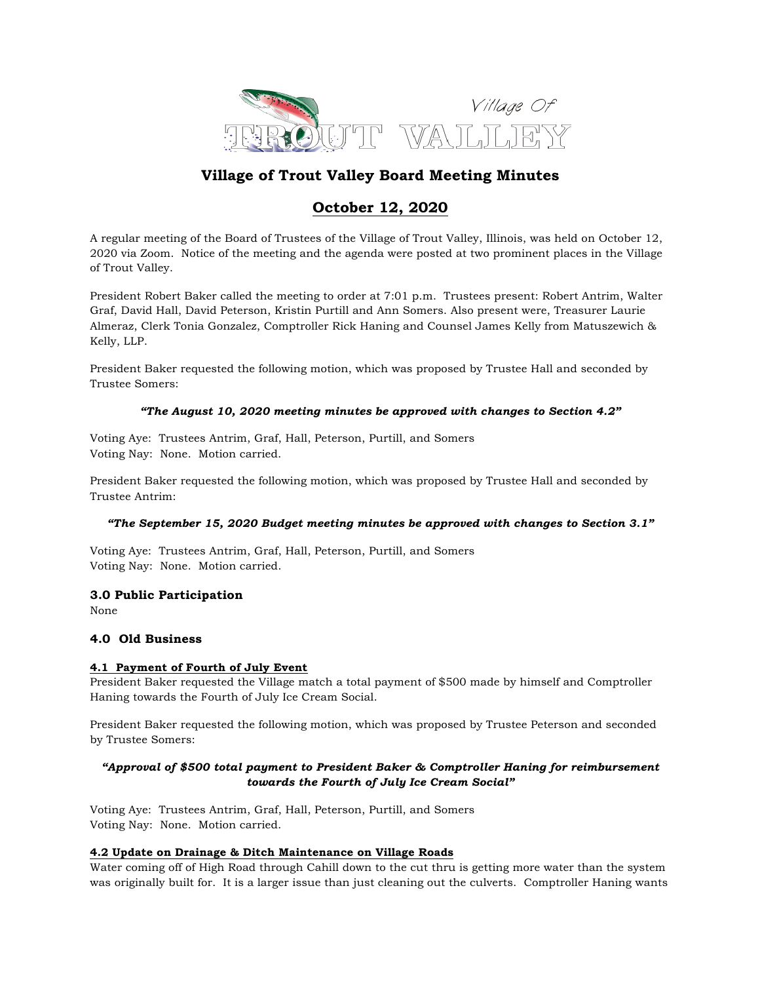

# **Village of Trout Valley Board Meeting Minutes**

# **October 12, 2020**

A regular meeting of the Board of Trustees of the Village of Trout Valley, Illinois, was held on October 12, 2020 via Zoom. Notice of the meeting and the agenda were posted at two prominent places in the Village of Trout Valley.

President Robert Baker called the meeting to order at 7:01 p.m. Trustees present: Robert Antrim, Walter Graf, David Hall, David Peterson, Kristin Purtill and Ann Somers. Also present were, Treasurer Laurie Almeraz, Clerk Tonia Gonzalez, Comptroller Rick Haning and Counsel James Kelly from Matuszewich & Kelly, LLP.

President Baker requested the following motion, which was proposed by Trustee Hall and seconded by Trustee Somers:

### *"The August 10, 2020 meeting minutes be approved with changes to Section 4.2"*

Voting Aye: Trustees Antrim, Graf, Hall, Peterson, Purtill, and Somers Voting Nay: None. Motion carried.

President Baker requested the following motion, which was proposed by Trustee Hall and seconded by Trustee Antrim:

### *"The September 15, 2020 Budget meeting minutes be approved with changes to Section 3.1"*

Voting Aye: Trustees Antrim, Graf, Hall, Peterson, Purtill, and Somers Voting Nay: None. Motion carried.

### **3.0 Public Participation**

None

### **4.0 Old Business**

#### **4.1 Payment of Fourth of July Event**

President Baker requested the Village match a total payment of \$500 made by himself and Comptroller Haning towards the Fourth of July Ice Cream Social.

President Baker requested the following motion, which was proposed by Trustee Peterson and seconded by Trustee Somers:

### *"Approval of \$500 total payment to President Baker & Comptroller Haning for reimbursement towards the Fourth of July Ice Cream Social"*

Voting Aye: Trustees Antrim, Graf, Hall, Peterson, Purtill, and Somers Voting Nay: None. Motion carried.

# **4.2 Update on Drainage & Ditch Maintenance on Village Roads**

Water coming off of High Road through Cahill down to the cut thru is getting more water than the system was originally built for. It is a larger issue than just cleaning out the culverts. Comptroller Haning wants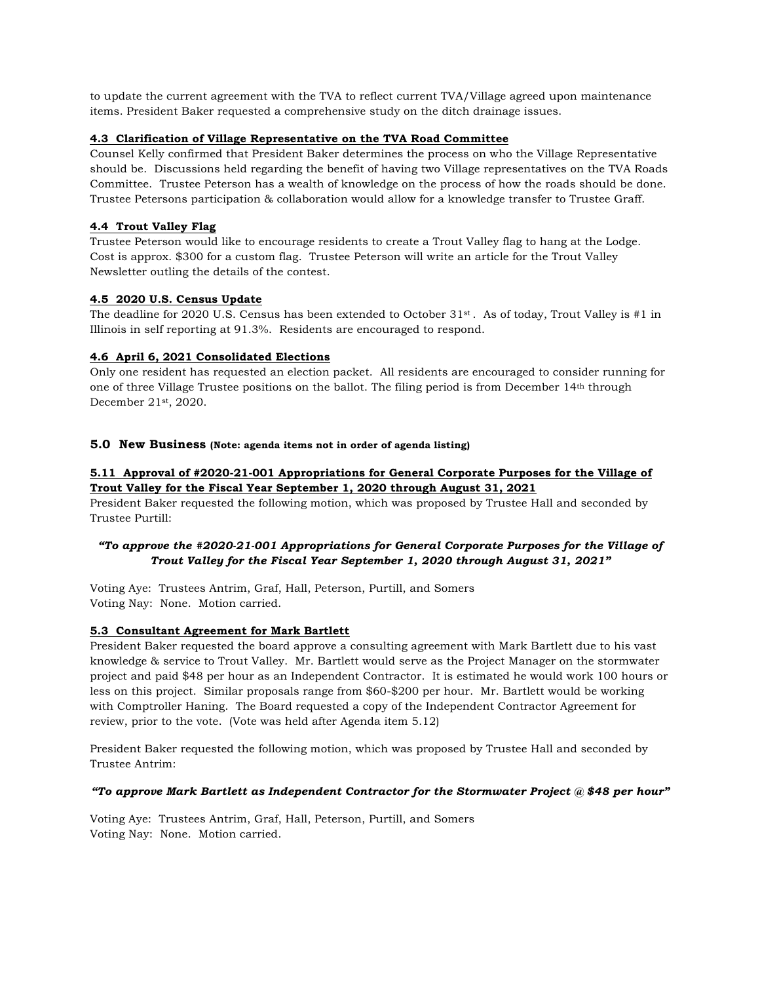to update the current agreement with the TVA to reflect current TVA/Village agreed upon maintenance items. President Baker requested a comprehensive study on the ditch drainage issues.

### **4.3 Clarification of Village Representative on the TVA Road Committee**

Counsel Kelly confirmed that President Baker determines the process on who the Village Representative should be. Discussions held regarding the benefit of having two Village representatives on the TVA Roads Committee. Trustee Peterson has a wealth of knowledge on the process of how the roads should be done. Trustee Petersons participation & collaboration would allow for a knowledge transfer to Trustee Graff.

# **4.4 Trout Valley Flag**

Trustee Peterson would like to encourage residents to create a Trout Valley flag to hang at the Lodge. Cost is approx. \$300 for a custom flag. Trustee Peterson will write an article for the Trout Valley Newsletter outling the details of the contest.

### **4.5 2020 U.S. Census Update**

The deadline for 2020 U.S. Census has been extended to October 31<sup>st</sup>. As of today, Trout Valley is #1 in Illinois in self reporting at 91.3%. Residents are encouraged to respond.

### **4.6 April 6, 2021 Consolidated Elections**

Only one resident has requested an election packet. All residents are encouraged to consider running for one of three Village Trustee positions on the ballot. The filing period is from December 14th through December 21st, 2020.

### **5.0 New Business (Note: agenda items not in order of agenda listing)**

# **5.11 Approval of #2020-21-001 Appropriations for General Corporate Purposes for the Village of Trout Valley for the Fiscal Year September 1, 2020 through August 31, 2021**

President Baker requested the following motion, which was proposed by Trustee Hall and seconded by Trustee Purtill:

# *"To approve the #2020-21-001 Appropriations for General Corporate Purposes for the Village of Trout Valley for the Fiscal Year September 1, 2020 through August 31, 2021"*

Voting Aye: Trustees Antrim, Graf, Hall, Peterson, Purtill, and Somers Voting Nay: None. Motion carried.

### **5.3 Consultant Agreement for Mark Bartlett**

President Baker requested the board approve a consulting agreement with Mark Bartlett due to his vast knowledge & service to Trout Valley. Mr. Bartlett would serve as the Project Manager on the stormwater project and paid \$48 per hour as an Independent Contractor. It is estimated he would work 100 hours or less on this project. Similar proposals range from \$60-\$200 per hour. Mr. Bartlett would be working with Comptroller Haning. The Board requested a copy of the Independent Contractor Agreement for review, prior to the vote. (Vote was held after Agenda item 5.12)

President Baker requested the following motion, which was proposed by Trustee Hall and seconded by Trustee Antrim:

#### *"To approve Mark Bartlett as Independent Contractor for the Stormwater Project @ \$48 per hour"*

Voting Aye: Trustees Antrim, Graf, Hall, Peterson, Purtill, and Somers Voting Nay: None. Motion carried.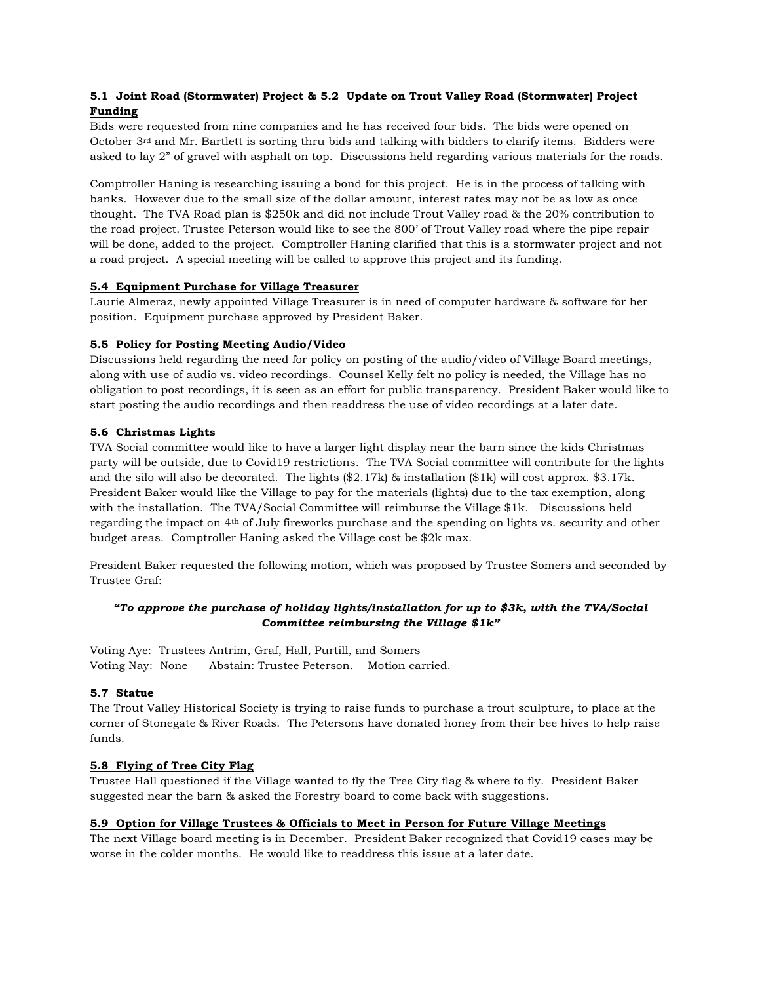# **5.1 Joint Road (Stormwater) Project & 5.2 Update on Trout Valley Road (Stormwater) Project Funding**

Bids were requested from nine companies and he has received four bids. The bids were opened on October 3rd and Mr. Bartlett is sorting thru bids and talking with bidders to clarify items. Bidders were asked to lay 2" of gravel with asphalt on top. Discussions held regarding various materials for the roads.

Comptroller Haning is researching issuing a bond for this project. He is in the process of talking with banks. However due to the small size of the dollar amount, interest rates may not be as low as once thought. The TVA Road plan is \$250k and did not include Trout Valley road & the 20% contribution to the road project. Trustee Peterson would like to see the 800' of Trout Valley road where the pipe repair will be done, added to the project. Comptroller Haning clarified that this is a stormwater project and not a road project. A special meeting will be called to approve this project and its funding.

### **5.4 Equipment Purchase for Village Treasurer**

Laurie Almeraz, newly appointed Village Treasurer is in need of computer hardware & software for her position. Equipment purchase approved by President Baker.

# **5.5 Policy for Posting Meeting Audio/Video**

Discussions held regarding the need for policy on posting of the audio/video of Village Board meetings, along with use of audio vs. video recordings. Counsel Kelly felt no policy is needed, the Village has no obligation to post recordings, it is seen as an effort for public transparency. President Baker would like to start posting the audio recordings and then readdress the use of video recordings at a later date.

# **5.6 Christmas Lights**

TVA Social committee would like to have a larger light display near the barn since the kids Christmas party will be outside, due to Covid19 restrictions. The TVA Social committee will contribute for the lights and the silo will also be decorated. The lights (\$2.17k) & installation (\$1k) will cost approx. \$3.17k. President Baker would like the Village to pay for the materials (lights) due to the tax exemption, along with the installation. The TVA/Social Committee will reimburse the Village \$1k. Discussions held regarding the impact on 4th of July fireworks purchase and the spending on lights vs. security and other budget areas. Comptroller Haning asked the Village cost be \$2k max.

President Baker requested the following motion, which was proposed by Trustee Somers and seconded by Trustee Graf:

# *"To approve the purchase of holiday lights/installation for up to \$3k, with the TVA/Social Committee reimbursing the Village \$1k"*

Voting Aye: Trustees Antrim, Graf, Hall, Purtill, and Somers Voting Nay: None Abstain: Trustee Peterson. Motion carried.

# **5.7 Statue**

The Trout Valley Historical Society is trying to raise funds to purchase a trout sculpture, to place at the corner of Stonegate & River Roads. The Petersons have donated honey from their bee hives to help raise funds.

### **5.8 Flying of Tree City Flag**

Trustee Hall questioned if the Village wanted to fly the Tree City flag & where to fly. President Baker suggested near the barn & asked the Forestry board to come back with suggestions.

### **5.9 Option for Village Trustees & Officials to Meet in Person for Future Village Meetings**

The next Village board meeting is in December. President Baker recognized that Covid19 cases may be worse in the colder months. He would like to readdress this issue at a later date.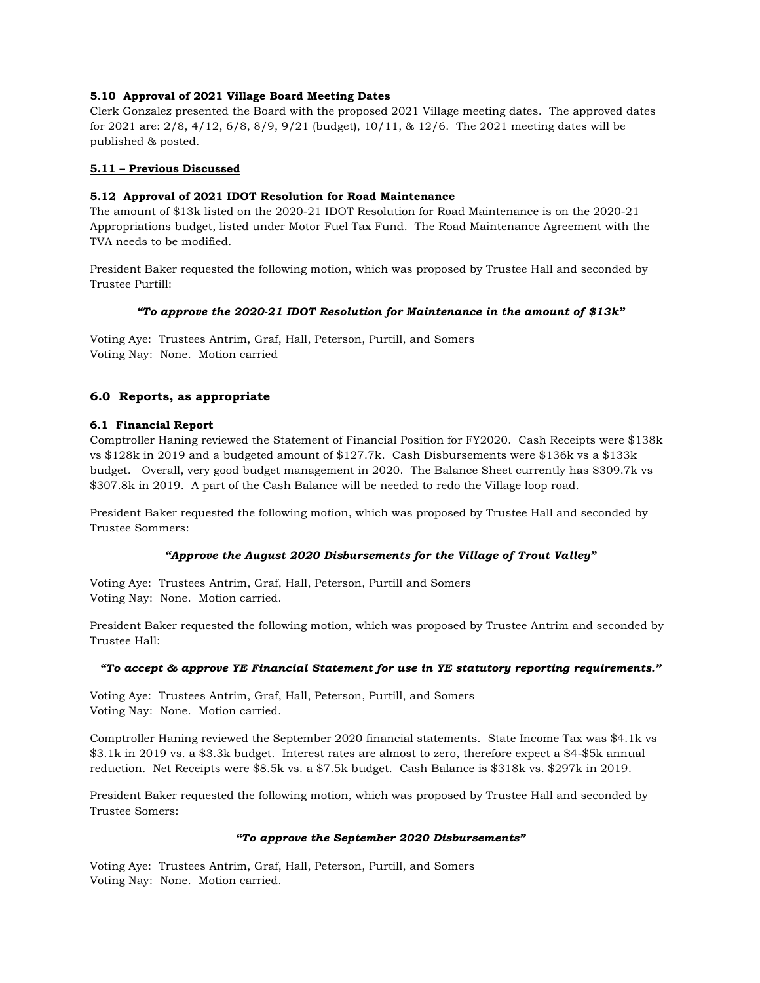### **5.10 Approval of 2021 Village Board Meeting Dates**

Clerk Gonzalez presented the Board with the proposed 2021 Village meeting dates. The approved dates for 2021 are: 2/8, 4/12, 6/8, 8/9, 9/21 (budget), 10/11, & 12/6. The 2021 meeting dates will be published & posted.

### **5.11 – Previous Discussed**

### **5.12 Approval of 2021 IDOT Resolution for Road Maintenance**

The amount of \$13k listed on the 2020-21 IDOT Resolution for Road Maintenance is on the 2020-21 Appropriations budget, listed under Motor Fuel Tax Fund. The Road Maintenance Agreement with the TVA needs to be modified.

President Baker requested the following motion, which was proposed by Trustee Hall and seconded by Trustee Purtill:

#### *"To approve the 2020-21 IDOT Resolution for Maintenance in the amount of \$13k"*

Voting Aye: Trustees Antrim, Graf, Hall, Peterson, Purtill, and Somers Voting Nay: None. Motion carried

### **6.0 Reports, as appropriate**

#### **6.1 Financial Report**

Comptroller Haning reviewed the Statement of Financial Position for FY2020. Cash Receipts were \$138k vs \$128k in 2019 and a budgeted amount of \$127.7k. Cash Disbursements were \$136k vs a \$133k budget. Overall, very good budget management in 2020. The Balance Sheet currently has \$309.7k vs \$307.8k in 2019. A part of the Cash Balance will be needed to redo the Village loop road.

President Baker requested the following motion, which was proposed by Trustee Hall and seconded by Trustee Sommers:

#### *"Approve the August 2020 Disbursements for the Village of Trout Valley"*

Voting Aye: Trustees Antrim, Graf, Hall, Peterson, Purtill and Somers Voting Nay: None. Motion carried.

President Baker requested the following motion, which was proposed by Trustee Antrim and seconded by Trustee Hall:

#### *"To accept & approve YE Financial Statement for use in YE statutory reporting requirements."*

Voting Aye: Trustees Antrim, Graf, Hall, Peterson, Purtill, and Somers Voting Nay: None. Motion carried.

Comptroller Haning reviewed the September 2020 financial statements. State Income Tax was \$4.1k vs \$3.1k in 2019 vs. a \$3.3k budget. Interest rates are almost to zero, therefore expect a \$4-\$5k annual reduction. Net Receipts were \$8.5k vs. a \$7.5k budget. Cash Balance is \$318k vs. \$297k in 2019.

President Baker requested the following motion, which was proposed by Trustee Hall and seconded by Trustee Somers:

#### *"To approve the September 2020 Disbursements"*

Voting Aye: Trustees Antrim, Graf, Hall, Peterson, Purtill, and Somers Voting Nay: None. Motion carried.